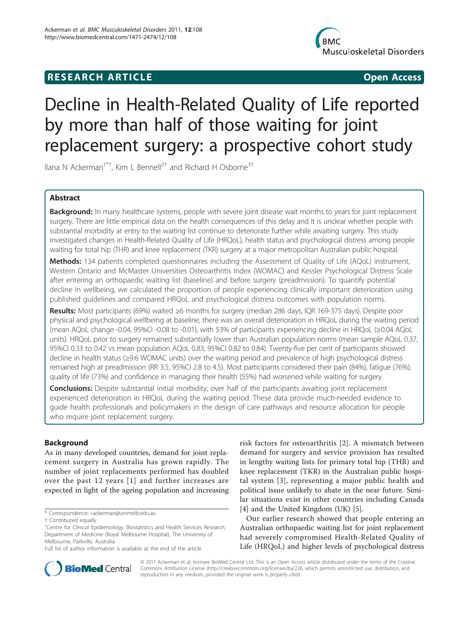# **RESEARCH ARTICLE Example 2018 CONSIDERING ACCESS**



# Decline in Health-Related Quality of Life reported by more than half of those waiting for joint replacement surgery: a prospective cohort study

Ilana N Ackerman<sup>1\*†</sup>, Kim L Bennell<sup>2†</sup> and Richard H Osborne<sup>3†</sup>

# Abstract

Background: In many healthcare systems, people with severe joint disease wait months to years for joint replacement surgery. There are little empirical data on the health consequences of this delay and it is unclear whether people with substantial morbidity at entry to the waiting list continue to deteriorate further while awaiting surgery. This study investigated changes in Health-Related Quality of Life (HRQoL), health status and psychological distress among people waiting for total hip (THR) and knee replacement (TKR) surgery at a major metropolitan Australian public hospital.

Methods: 134 patients completed questionnaires including the Assessment of Quality of Life (AQoL) instrument, Western Ontario and McMaster Universities Osteoarthritis Index (WOMAC) and Kessler Psychological Distress Scale after entering an orthopaedic waiting list (baseline) and before surgery (preadmission). To quantify potential decline in wellbeing, we calculated the proportion of people experiencing clinically important deterioration using published guidelines and compared HRQoL and psychological distress outcomes with population norms.

Results: Most participants (69%) waited ≥6 months for surgery (median 286 days, IQR 169-375 days). Despite poor physical and psychological wellbeing at baseline, there was an overall deterioration in HRQoL during the waiting period (mean AQoL change -0.04, 95%CI -0.08 to -0.01), with 53% of participants experiencing decline in HRQoL (≥0.04 AQoL units). HRQoL prior to surgery remained substantially lower than Australian population norms (mean sample AQoL 0.37, 95%CI 0.33 to 0.42 vs mean population AQoL 0.83, 95%CI 0.82 to 0.84). Twenty-five per cent of participants showed decline in health status (≥9.6 WOMAC units) over the waiting period and prevalence of high psychological distress remained high at preadmission (RR 3.5, 95%CI 2.8 to 4.5). Most participants considered their pain (84%), fatigue (76%), quality of life (73%) and confidence in managing their health (55%) had worsened while waiting for surgery.

**Conclusions:** Despite substantial initial morbidity, over half of the participants awaiting joint replacement experienced deterioration in HRQoL during the waiting period. These data provide much-needed evidence to guide health professionals and policymakers in the design of care pathways and resource allocation for people who require joint replacement surgery.

# Background

As in many developed countries, demand for joint replacement surgery in Australia has grown rapidly. The number of joint replacements performed has doubled over the past 12 years [[1\]](#page-7-0) and further increases are expected in light of the ageing population and increasing

risk factors for osteoarthritis [\[2](#page-7-0)]. A mismatch between demand for surgery and service provision has resulted in lengthy waiting lists for primary total hip (THR) and knee replacement (TKR) in the Australian public hospital system [[3](#page-7-0)], representing a major public health and political issue unlikely to abate in the near future. Similar situations exist in other countries including Canada [[4\]](#page-7-0) and the United Kingdom (UK) [[5](#page-7-0)].

Our earlier research showed that people entering an Australian orthopaedic waiting list for joint replacement had severely compromised Health-Related Quality of Life (HRQoL) and higher levels of psychological distress



© 2011 Ackerman et al; licensee BioMed Central Ltd. This is an Open Access article distributed under the terms of the Creative Commons Attribution License [\(http://creativecommons.org/licenses/by/2.0](http://creativecommons.org/licenses/by/2.0)), which permits unrestricted use, distribution, and reproduction in any medium, provided the original work is properly cited.

<sup>\*</sup> Correspondence: [i.ackerman@unimelb.edu.au](mailto:i.ackerman@unimelb.edu.au)

<sup>†</sup> Contributed equally <sup>1</sup>

<sup>&</sup>lt;sup>1</sup> Centre for Clinical Epidemiology, Biostatistics and Health Services Research, Department of Medicine (Royal Melbourne Hospital), The University of Melbourne, Parkville, Australia

Full list of author information is available at the end of the article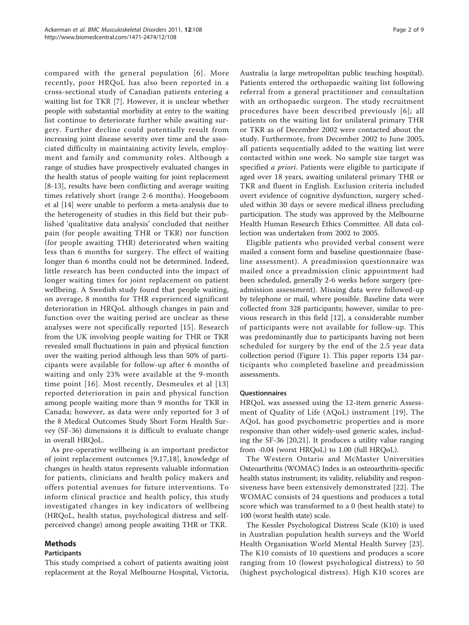compared with the general population [\[6\]](#page-7-0). More recently, poor HRQoL has also been reported in a cross-sectional study of Canadian patients entering a waiting list for TKR [\[7](#page-7-0)]. However, it is unclear whether people with substantial morbidity at entry to the waiting list continue to deteriorate further while awaiting surgery. Further decline could potentially result from increasing joint disease severity over time and the associated difficulty in maintaining activity levels, employment and family and community roles. Although a range of studies have prospectively evaluated changes in the health status of people waiting for joint replacement [[8-](#page-7-0)[13](#page-8-0)], results have been conflicting and average waiting times relatively short (range 2-6 months). Hoogeboom et al [[14\]](#page-8-0) were unable to perform a meta-analysis due to the heterogeneity of studies in this field but their published 'qualitative data analysis' concluded that neither pain (for people awaiting THR or TKR) nor function (for people awaiting THR) deteriorated when waiting less than 6 months for surgery. The effect of waiting longer than 6 months could not be determined. Indeed, little research has been conducted into the impact of longer waiting times for joint replacement on patient wellbeing. A Swedish study found that people waiting, on average, 8 months for THR experienced significant deterioration in HRQoL although changes in pain and function over the waiting period are unclear as these analyses were not specifically reported [\[15\]](#page-8-0). Research from the UK involving people waiting for THR or TKR revealed small fluctuations in pain and physical function over the waiting period although less than 50% of participants were available for follow-up after 6 months of waiting and only 23% were available at the 9-month time point [[16](#page-8-0)]. Most recently, Desmeules et al [[13](#page-8-0)] reported deterioration in pain and physical function among people waiting more than 9 months for TKR in Canada; however, as data were only reported for 3 of the 8 Medical Outcomes Study Short Form Health Survey (SF-36) dimensions it is difficult to evaluate change in overall HRQoL.

As pre-operative wellbeing is an important predictor of joint replacement outcomes [[9,](#page-7-0)[17](#page-8-0),[18\]](#page-8-0), knowledge of changes in health status represents valuable information for patients, clinicians and health policy makers and offers potential avenues for future interventions. To inform clinical practice and health policy, this study investigated changes in key indicators of wellbeing (HRQoL, health status, psychological distress and selfperceived change) among people awaiting THR or TKR.

# Methods

#### **Participants**

This study comprised a cohort of patients awaiting joint replacement at the Royal Melbourne Hospital, Victoria,

Australia (a large metropolitan public teaching hospital). Patients entered the orthopaedic waiting list following referral from a general practitioner and consultation with an orthopaedic surgeon. The study recruitment procedures have been described previously [[6](#page-7-0)]; all patients on the waiting list for unilateral primary THR or TKR as of December 2002 were contacted about the study. Furthermore, from December 2002 to June 2005, all patients sequentially added to the waiting list were contacted within one week. No sample size target was specified *a priori*. Patients were eligible to participate if aged over 18 years, awaiting unilateral primary THR or TKR and fluent in English. Exclusion criteria included overt evidence of cognitive dysfunction, surgery scheduled within 30 days or severe medical illness precluding participation. The study was approved by the Melbourne Health Human Research Ethics Committee. All data collection was undertaken from 2002 to 2005.

Eligible patients who provided verbal consent were mailed a consent form and baseline questionnaire (baseline assessment). A preadmission questionnaire was mailed once a preadmission clinic appointment had been scheduled, generally 2-6 weeks before surgery (preadmission assessment). Missing data were followed-up by telephone or mail, where possible. Baseline data were collected from 328 participants; however, similar to previous research in this field [\[12](#page-8-0)], a considerable number of participants were not available for follow-up. This was predominantly due to participants having not been scheduled for surgery by the end of the 2.5 year data collection period (Figure [1\)](#page-2-0). This paper reports 134 participants who completed baseline and preadmission assessments.

#### Questionnaires

HRQoL was assessed using the 12-item generic Assessment of Quality of Life (AQoL) instrument [[19](#page-8-0)]. The AQoL has good psychometric properties and is more responsive than other widely-used generic scales, including the SF-36 [\[20,21\]](#page-8-0). It produces a utility value ranging from -0.04 (worst HRQoL) to 1.00 (full HRQoL).

The Western Ontario and McMaster Universities Osteoarthritis (WOMAC) Index is an osteoarthritis-specific health status instrument; its validity, reliability and responsiveness have been extensively demonstrated [[22](#page-8-0)]. The WOMAC consists of 24 questions and produces a total score which was transformed to a 0 (best health state) to 100 (worst health state) scale.

The Kessler Psychological Distress Scale (K10) is used in Australian population health surveys and the World Health Organisation World Mental Health Survey [[23](#page-8-0)]. The K10 consists of 10 questions and produces a score ranging from 10 (lowest psychological distress) to 50 (highest psychological distress). High K10 scores are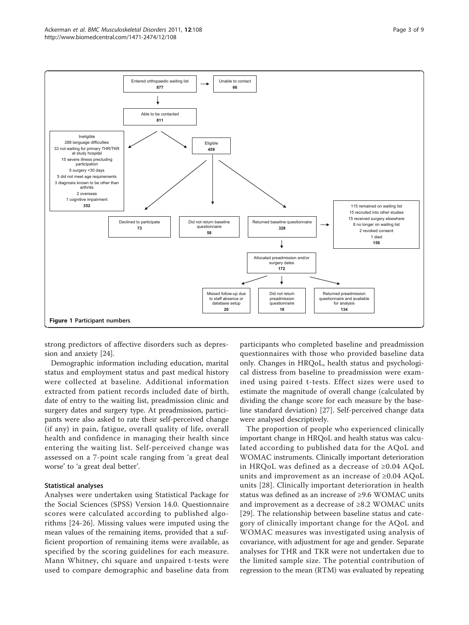<span id="page-2-0"></span>

strong predictors of affective disorders such as depression and anxiety [\[24](#page-8-0)].

Demographic information including education, marital status and employment status and past medical history were collected at baseline. Additional information extracted from patient records included date of birth, date of entry to the waiting list, preadmission clinic and surgery dates and surgery type. At preadmission, participants were also asked to rate their self-perceived change (if any) in pain, fatigue, overall quality of life, overall health and confidence in managing their health since entering the waiting list. Self-perceived change was assessed on a 7-point scale ranging from 'a great deal worse' to 'a great deal better'.

## Statistical analyses

Analyses were undertaken using Statistical Package for the Social Sciences (SPSS) Version 14.0. Questionnaire scores were calculated according to published algorithms [[24](#page-8-0)-[26\]](#page-8-0). Missing values were imputed using the mean values of the remaining items, provided that a sufficient proportion of remaining items were available, as specified by the scoring guidelines for each measure. Mann Whitney, chi square and unpaired t-tests were used to compare demographic and baseline data from

participants who completed baseline and preadmission questionnaires with those who provided baseline data only. Changes in HRQoL, health status and psychological distress from baseline to preadmission were examined using paired t-tests. Effect sizes were used to estimate the magnitude of overall change (calculated by dividing the change score for each measure by the baseline standard deviation) [\[27](#page-8-0)]. Self-perceived change data were analysed descriptively.

The proportion of people who experienced clinically important change in HRQoL and health status was calculated according to published data for the AQoL and WOMAC instruments. Clinically important deterioration in HRQoL was defined as a decrease of ≥0.04 AQoL units and improvement as an increase of ≥0.04 AQoL units [[28\]](#page-8-0). Clinically important deterioration in health status was defined as an increase of ≥9.6 WOMAC units and improvement as a decrease of ≥8.2 WOMAC units [[29](#page-8-0)]. The relationship between baseline status and category of clinically important change for the AQoL and WOMAC measures was investigated using analysis of covariance, with adjustment for age and gender. Separate analyses for THR and TKR were not undertaken due to the limited sample size. The potential contribution of regression to the mean (RTM) was evaluated by repeating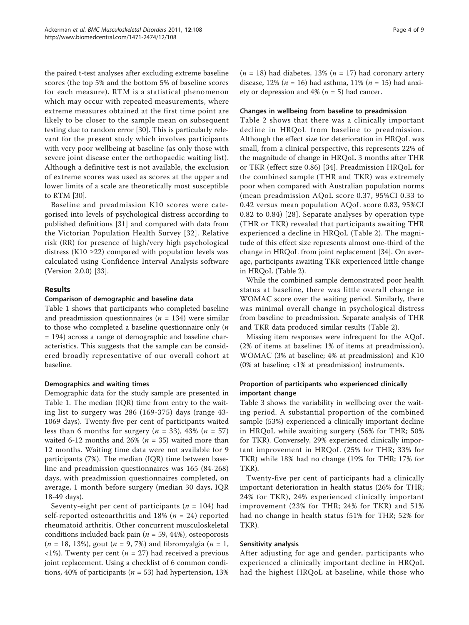the paired t-test analyses after excluding extreme baseline scores (the top 5% and the bottom 5% of baseline scores for each measure). RTM is a statistical phenomenon which may occur with repeated measurements, where extreme measures obtained at the first time point are likely to be closer to the sample mean on subsequent testing due to random error [[30](#page-8-0)]. This is particularly relevant for the present study which involves participants with very poor wellbeing at baseline (as only those with severe joint disease enter the orthopaedic waiting list). Although a definitive test is not available, the exclusion of extreme scores was used as scores at the upper and lower limits of a scale are theoretically most susceptible to RTM [\[30\]](#page-8-0).

Baseline and preadmission K10 scores were categorised into levels of psychological distress according to published definitions [[31\]](#page-8-0) and compared with data from the Victorian Population Health Survey [[32](#page-8-0)]. Relative risk (RR) for presence of high/very high psychological distress (K10  $\geq$ 22) compared with population levels was calculated using Confidence Interval Analysis software (Version 2.0.0) [\[33\]](#page-8-0).

# Results

# Comparison of demographic and baseline data

Table [1](#page-4-0) shows that participants who completed baseline and preadmission questionnaires ( $n = 134$ ) were similar to those who completed a baseline questionnaire only  $(n)$ = 194) across a range of demographic and baseline characteristics. This suggests that the sample can be considered broadly representative of our overall cohort at baseline.

# Demographics and waiting times

Demographic data for the study sample are presented in Table [1.](#page-4-0) The median (IQR) time from entry to the waiting list to surgery was 286 (169-375) days (range 43- 1069 days). Twenty-five per cent of participants waited less than 6 months for surgery  $(n = 33)$ , 43%  $(n = 57)$ waited 6-12 months and 26% ( $n = 35$ ) waited more than 12 months. Waiting time data were not available for 9 participants (7%). The median (IQR) time between baseline and preadmission questionnaires was 165 (84-268) days, with preadmission questionnaires completed, on average, 1 month before surgery (median 30 days, IQR 18-49 days).

Seventy-eight per cent of participants ( $n = 104$ ) had self-reported osteoarthritis and 18% ( $n = 24$ ) reported rheumatoid arthritis. Other concurrent musculoskeletal conditions included back pain ( $n = 59, 44\%$ ), osteoporosis  $(n = 18, 13\%)$ , gout  $(n = 9, 7\%)$  and fibromyalgia  $(n = 1, 1\%)$  $\langle 1\% \rangle$ . Twenty per cent (*n* = 27) had received a previous joint replacement. Using a checklist of 6 common conditions, 40% of participants ( $n = 53$ ) had hypertension, 13%

 $(n = 18)$  had diabetes, 13%  $(n = 17)$  had coronary artery disease, 12% ( $n = 16$ ) had asthma, 11% ( $n = 15$ ) had anxiety or depression and  $4\%$  ( $n = 5$ ) had cancer.

# Changes in wellbeing from baseline to preadmission

Table [2](#page-4-0) shows that there was a clinically important decline in HRQoL from baseline to preadmission. Although the effect size for deterioration in HRQoL was small, from a clinical perspective, this represents 22% of the magnitude of change in HRQoL 3 months after THR or TKR (effect size 0.86) [[34\]](#page-8-0). Preadmission HRQoL for the combined sample (THR and TKR) was extremely poor when compared with Australian population norms (mean preadmission AQoL score 0.37, 95%CI 0.33 to 0.42 versus mean population AQoL score 0.83, 95%CI 0.82 to 0.84) [\[28\]](#page-8-0). Separate analyses by operation type (THR or TKR) revealed that participants awaiting THR experienced a decline in HRQoL (Table [2\)](#page-4-0). The magnitude of this effect size represents almost one-third of the change in HRQoL from joint replacement [[34\]](#page-8-0). On average, participants awaiting TKR experienced little change in HRQoL (Table [2](#page-4-0)).

While the combined sample demonstrated poor health status at baseline, there was little overall change in WOMAC score over the waiting period. Similarly, there was minimal overall change in psychological distress from baseline to preadmission. Separate analysis of THR and TKR data produced similar results (Table [2\)](#page-4-0).

Missing item responses were infrequent for the AQoL (2% of items at baseline; 1% of items at preadmission), WOMAC (3% at baseline; 4% at preadmission) and K10 (0% at baseline; <1% at preadmission) instruments.

# Proportion of participants who experienced clinically important change

Table [3](#page-5-0) shows the variability in wellbeing over the waiting period. A substantial proportion of the combined sample (53%) experienced a clinically important decline in HRQoL while awaiting surgery (56% for THR; 50% for TKR). Conversely, 29% experienced clinically important improvement in HRQoL (25% for THR; 33% for TKR) while 18% had no change (19% for THR; 17% for TKR).

Twenty-five per cent of participants had a clinically important deterioration in health status (26% for THR; 24% for TKR), 24% experienced clinically important improvement (23% for THR; 24% for TKR) and 51% had no change in health status (51% for THR; 52% for TKR).

## Sensitivity analysis

After adjusting for age and gender, participants who experienced a clinically important decline in HRQoL had the highest HRQoL at baseline, while those who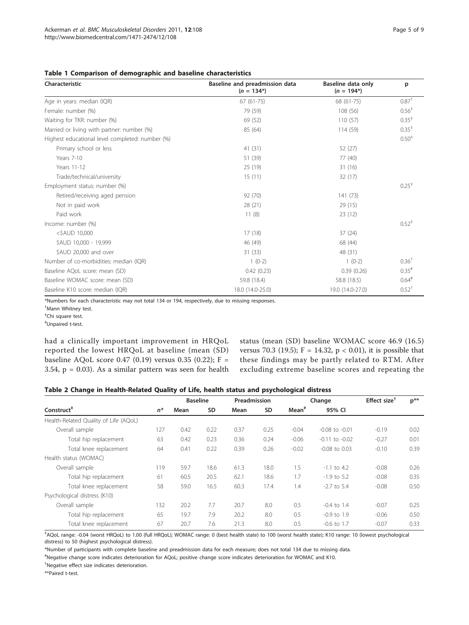<span id="page-4-0"></span>Table 1 Comparison of demographic and baseline characteristics

| Characteristic                                  | Baseline and preadmission data<br>$(n = 134*)$ | Baseline data only<br>$(n = 194^*)$ | p                   |  |
|-------------------------------------------------|------------------------------------------------|-------------------------------------|---------------------|--|
| Age in years: median (IQR)                      | $67(61-75)$                                    | 68 (61-75)                          | $0.87^+$            |  |
| Female: number (%)                              | 79 (59)                                        | 108 (56)                            | $0.56^+$            |  |
| Waiting for TKR: number (%)                     | 69 (52)                                        | 110(57)                             | $0.35^+$            |  |
| Married or living with partner: number (%)      | 85 (64)                                        | 114(59)                             | $0.35^+$            |  |
| Highest educational level completed: number (%) |                                                |                                     | 0.50 <sup>†</sup>   |  |
| Primary school or less                          | 41(31)                                         | 52 (27)                             |                     |  |
| Years 7-10                                      | 51 (39)                                        | 77 (40)                             |                     |  |
| Years 11-12                                     | 25 (19)                                        | 31 (16)                             |                     |  |
| Trade/technical/university                      | 15(11)                                         | 32(17)                              |                     |  |
| Employment status: number (%)                   |                                                |                                     | $0.25$ <sup>+</sup> |  |
| Retired/receiving aged pension                  | 92 (70)                                        | 141 (73)                            |                     |  |
| Not in paid work                                | 28(21)                                         | 29 (15)                             |                     |  |
| Paid work                                       | 11(8)                                          | 23(12)                              |                     |  |
| Income: number (%)                              |                                                |                                     | $0.52^{+}$          |  |
| $<$ \$AUD 10,000                                | 17(18)                                         | 37(24)                              |                     |  |
| \$AUD 10,000 - 19,999                           | 46 (49)                                        | 68 (44)                             |                     |  |
| \$AUD 20,000 and over                           | 31(33)                                         | 48 (31)                             |                     |  |
| Number of co-morbidities: median (IQR)          | $1(0-2)$                                       | $1(0-2)$                            | $0.36^{\dagger}$    |  |
| Baseline AQoL score: mean (SD)                  | 0.42(0.23)                                     | 0.39(0.26)                          | $0.35$ <sup>#</sup> |  |
| Baseline WOMAC score: mean (SD)                 | 59.8 (18.4)                                    | 58.8 (18.5)                         | $0.64$ <sup>#</sup> |  |
| Baseline K10 score: median (IQR)                | 18.0 (14.0-25.0)                               | 19.0 (14.0-27.0)                    | $0.52^{+}$          |  |

\*Numbers for each characteristic may not total 134 or 194, respectively, due to missing responses.

‡ Chi square test.

# Unpaired t-test.

had a clinically important improvement in HRQoL reported the lowest HRQoL at baseline (mean (SD) baseline AQoL score 0.47 (0.19) versus 0.35 (0.22); F = 3.54,  $p = 0.03$ ). As a similar pattern was seen for health

status (mean (SD) baseline WOMAC score 46.9 (16.5) versus 70.3 (19.5);  $F = 14.32$ ,  $p < 0.01$ ), it is possible that these findings may be partly related to RTM. After excluding extreme baseline scores and repeating the

|  |  | Table 2 Change in Health-Related Quality of Life, health status and psychological distress |
|--|--|--------------------------------------------------------------------------------------------|
|--|--|--------------------------------------------------------------------------------------------|

|                                       |       | <b>Baseline</b> |           | Preadmission |           |                   | Change             | Effect size <sup><math>†</math></sup> | $p***$ |
|---------------------------------------|-------|-----------------|-----------|--------------|-----------|-------------------|--------------------|---------------------------------------|--------|
| Construct <sup>#</sup>                | $n^*$ | Mean            | <b>SD</b> | Mean         | <b>SD</b> | Mean <sup>#</sup> | 95% CI             |                                       |        |
| Health-Related Quality of Life (AQoL) |       |                 |           |              |           |                   |                    |                                       |        |
| Overall sample                        | 127   | 0.42            | 0.22      | 0.37         | 0.25      | $-0.04$           | $-0.08$ to $-0.01$ | $-0.19$                               | 0.02   |
| Total hip replacement                 | 63    | 0.42            | 0.23      | 0.36         | 0.24      | $-0.06$           | $-0.11$ to $-0.02$ | $-0.27$                               | 0.01   |
| Total knee replacement                | 64    | 0.41            | 0.22      | 0.39         | 0.26      | $-0.02$           | $-0.08$ to $0.03$  | $-0.10$                               | 0.39   |
| Health status (WOMAC)                 |       |                 |           |              |           |                   |                    |                                       |        |
| Overall sample                        | 119   | 59.7            | 18.6      | 61.3         | 18.0      | 1.5               | $-1.1$ to 4.2      | $-0.08$                               | 0.26   |
| Total hip replacement                 | 61    | 60.5            | 20.5      | 62.1         | 18.6      | 1.7               | $-1.9$ to 5.2      | $-0.08$                               | 0.35   |
| Total knee replacement                | 58    | 59.0            | 16.5      | 60.3         | 17.4      | 1.4               | $-2.7$ to 5.4      | $-0.08$                               | 0.50   |
| Psychological distress (K10)          |       |                 |           |              |           |                   |                    |                                       |        |
| Overall sample                        | 132   | 20.2            | 7.7       | 20.7         | 8.0       | 0.5               | $-0.4$ to 1.4      | $-0.07$                               | 0.25   |
| Total hip replacement                 | 65    | 19.7            | 7.9       | 20.2         | 8.0       | 0.5               | $-0.9$ to $1.9$    | $-0.06$                               | 0.50   |
| Total knee replacement                | 67    | 20.7            | 7.6       | 21.3         | 8.0       | 0.5               | $-0.6$ to 1.7      | $-0.07$                               | 0.33   |

‡ AQoL range: -0.04 (worst HRQoL) to 1.00 (full HRQoL); WOMAC range: 0 (best health state) to 100 (worst health state); K10 range: 10 (lowest psychological distress) to 50 (highest psychological distress).

\*Number of participants with complete baseline and preadmission data for each measure; does not total 134 due to missing data.

# Negative change score indicates deterioration for AQoL; positive change score indicates deterioration for WOMAC and K10.

† Negative effect size indicates deterioration.

\*\*Paired t-test.

<sup>†</sup> Mann Whitney test.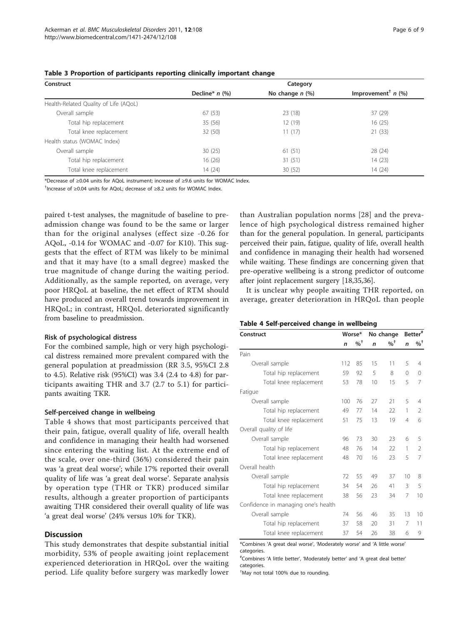| Construct                             | Category         |                   |                                  |  |  |  |
|---------------------------------------|------------------|-------------------|----------------------------------|--|--|--|
|                                       | Decline* $n$ (%) | No change $n$ (%) | Improvement <sup>†</sup> $n$ (%) |  |  |  |
| Health-Related Quality of Life (AQoL) |                  |                   |                                  |  |  |  |
| Overall sample                        | 67(53)           | 23(18)            | 37(29)                           |  |  |  |
| Total hip replacement                 | 35(56)           | 12(19)            | 16(25)                           |  |  |  |
| Total knee replacement                | 32 (50)          | 11(17)            | 21(33)                           |  |  |  |
| Health status (WOMAC Index)           |                  |                   |                                  |  |  |  |
| Overall sample                        | 30(25)           | 61(51)            | 28 (24)                          |  |  |  |
| Total hip replacement                 | 16(26)           | 31(51)            | 14(23)                           |  |  |  |
| Total knee replacement                | 14(24)           | 30(52)            | 14(24)                           |  |  |  |

#### <span id="page-5-0"></span>Table 3 Proportion of participants reporting clinically important change

\*Decrease of ≥0.04 units for AQoL instrument; increase of ≥9.6 units for WOMAC Index.

† Increase of ≥0.04 units for AQoL; decrease of ≥8.2 units for WOMAC Index.

paired t-test analyses, the magnitude of baseline to preadmission change was found to be the same or larger than for the original analyses (effect size -0.26 for AQoL, -0.14 for WOMAC and -0.07 for K10). This suggests that the effect of RTM was likely to be minimal and that it may have (to a small degree) masked the true magnitude of change during the waiting period. Additionally, as the sample reported, on average, very poor HRQoL at baseline, the net effect of RTM should have produced an overall trend towards improvement in HRQoL; in contrast, HRQoL deteriorated significantly from baseline to preadmission.

#### Risk of psychological distress

For the combined sample, high or very high psychological distress remained more prevalent compared with the general population at preadmission (RR 3.5, 95%CI 2.8 to 4.5). Relative risk (95%CI) was 3.4 (2.4 to 4.8) for participants awaiting THR and 3.7 (2.7 to 5.1) for participants awaiting TKR.

#### Self-perceived change in wellbeing

Table 4 shows that most participants perceived that their pain, fatigue, overall quality of life, overall health and confidence in managing their health had worsened since entering the waiting list. At the extreme end of the scale, over one-third (36%) considered their pain was 'a great deal worse'; while 17% reported their overall quality of life was 'a great deal worse'. Separate analysis by operation type (THR or TKR) produced similar results, although a greater proportion of participants awaiting THR considered their overall quality of life was 'a great deal worse' (24% versus 10% for TKR).

# **Discussion**

This study demonstrates that despite substantial initial morbidity, 53% of people awaiting joint replacement experienced deterioration in HRQoL over the waiting period. Life quality before surgery was markedly lower

than Australian population norms [[28\]](#page-8-0) and the prevalence of high psychological distress remained higher than for the general population. In general, participants perceived their pain, fatigue, quality of life, overall health and confidence in managing their health had worsened while waiting. These findings are concerning given that pre-operative wellbeing is a strong predictor of outcome after joint replacement surgery [[18](#page-8-0),[35,36](#page-8-0)].

It is unclear why people awaiting THR reported, on average, greater deterioration in HRQoL than people

#### Table 4 Self-perceived change in wellbeing

| Construct                           |              | Worse*            |              | No change       |              | $\mathsf{Better}^{\#}$ |  |
|-------------------------------------|--------------|-------------------|--------------|-----------------|--------------|------------------------|--|
|                                     | $\mathsf{n}$ | $\%$ <sup>+</sup> | $\mathsf{n}$ | $\%$ $^\dagger$ | $\mathsf{n}$ | $\%$ <sup>+</sup>      |  |
| Pain                                |              |                   |              |                 |              |                        |  |
| Overall sample                      | 112          | 85                | 15           | 11              | 5            | 4                      |  |
| Total hip replacement               | 59           | 92                | 5            | 8               | 0            | $\Omega$               |  |
| Total knee replacement              | 53           | 78                | 10           | 15              | 5            | 7                      |  |
| Fatigue                             |              |                   |              |                 |              |                        |  |
| Overall sample                      | 100          | 76                | 27           | 21              | 5            | 4                      |  |
| Total hip replacement               | 49           | 77                | 14           | 22              | 1            | $\mathfrak{D}$         |  |
| Total knee replacement              | 51           | 75                | 13           | 19              | 4            | 6                      |  |
| Overall quality of life             |              |                   |              |                 |              |                        |  |
| Overall sample                      | 96           | 73                | 30           | 23              | 6            | 5                      |  |
| Total hip replacement               | 48           | 76                | 14           | 22              | 1            | 2                      |  |
| Total knee replacement              | 48           | 70                | 16           | 23              | 5            | 7                      |  |
| Overall health                      |              |                   |              |                 |              |                        |  |
| Overall sample                      | 72           | 55                | 49           | 37              | 10           | 8                      |  |
| Total hip replacement               | 34           | 54                | 26           | 41              | 3            | 5                      |  |
| Total knee replacement              | 38           | 56                | 23           | 34              | 7            | 10                     |  |
| Confidence in managing one's health |              |                   |              |                 |              |                        |  |
| Overall sample                      | 74           | 56                | 46           | 35              | 13           | 10                     |  |
| Total hip replacement               | 37           | 58                | 20           | 31              | 7            | 11                     |  |
| Total knee replacement              | 37           | 54                | 26           | 38              | 6            | 9                      |  |

\*Combines 'A great deal worse', 'Moderately worse' and 'A little worse' categories.

# Combines 'A little better', 'Moderately better' and 'A great deal better' categories.

† May not total 100% due to rounding.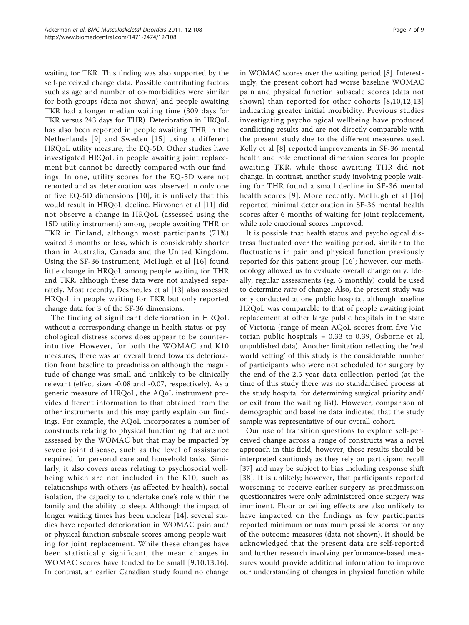waiting for TKR. This finding was also supported by the self-perceived change data. Possible contributing factors such as age and number of co-morbidities were similar for both groups (data not shown) and people awaiting TKR had a longer median waiting time (309 days for TKR versus 243 days for THR). Deterioration in HRQoL has also been reported in people awaiting THR in the Netherlands [[9\]](#page-7-0) and Sweden [[15\]](#page-8-0) using a different HRQoL utility measure, the EQ-5D. Other studies have investigated HRQoL in people awaiting joint replacement but cannot be directly compared with our findings. In one, utility scores for the EQ-5D were not reported and as deterioration was observed in only one of five EQ-5D dimensions [[10](#page-7-0)], it is unlikely that this would result in HRQoL decline. Hirvonen et al [[11\]](#page-7-0) did not observe a change in HRQoL (assessed using the 15D utility instrument) among people awaiting THR or TKR in Finland, although most participants (71%) waited 3 months or less, which is considerably shorter than in Australia, Canada and the United Kingdom. Using the SF-36 instrument, McHugh et al [[16](#page-8-0)] found little change in HRQoL among people waiting for THR and TKR, although these data were not analysed separately. Most recently, Desmeules et al [[13\]](#page-8-0) also assessed HRQoL in people waiting for TKR but only reported change data for 3 of the SF-36 dimensions.

The finding of significant deterioration in HRQoL without a corresponding change in health status or psychological distress scores does appear to be counterintuitive. However, for both the WOMAC and K10 measures, there was an overall trend towards deterioration from baseline to preadmission although the magnitude of change was small and unlikely to be clinically relevant (effect sizes -0.08 and -0.07, respectively). As a generic measure of HRQoL, the AQoL instrument provides different information to that obtained from the other instruments and this may partly explain our findings. For example, the AQoL incorporates a number of constructs relating to physical functioning that are not assessed by the WOMAC but that may be impacted by severe joint disease, such as the level of assistance required for personal care and household tasks. Similarly, it also covers areas relating to psychosocial wellbeing which are not included in the K10, such as relationships with others (as affected by health), social isolation, the capacity to undertake one's role within the family and the ability to sleep. Although the impact of longer waiting times has been unclear [[14\]](#page-8-0), several studies have reported deterioration in WOMAC pain and/ or physical function subscale scores among people waiting for joint replacement. While these changes have been statistically significant, the mean changes in WOMAC scores have tended to be small [[9](#page-7-0),[10,](#page-7-0)[13](#page-8-0),[16\]](#page-8-0). In contrast, an earlier Canadian study found no change in WOMAC scores over the waiting period [\[8](#page-7-0)]. Interestingly, the present cohort had worse baseline WOMAC pain and physical function subscale scores (data not shown) than reported for other cohorts [[8,10](#page-7-0),[12](#page-8-0),[13](#page-8-0)] indicating greater initial morbidity. Previous studies investigating psychological wellbeing have produced conflicting results and are not directly comparable with the present study due to the different measures used. Kelly et al [[8\]](#page-7-0) reported improvements in SF-36 mental health and role emotional dimension scores for people awaiting TKR, while those awaiting THR did not change. In contrast, another study involving people waiting for THR found a small decline in SF-36 mental health scores [[9](#page-7-0)]. More recently, McHugh et al [[16](#page-8-0)] reported minimal deterioration in SF-36 mental health scores after 6 months of waiting for joint replacement, while role emotional scores improved.

It is possible that health status and psychological distress fluctuated over the waiting period, similar to the fluctuations in pain and physical function previously reported for this patient group [\[16](#page-8-0)]; however, our methodology allowed us to evaluate overall change only. Ideally, regular assessments (eg. 6 monthly) could be used to determine *rate* of change. Also, the present study was only conducted at one public hospital, although baseline HRQoL was comparable to that of people awaiting joint replacement at other large public hospitals in the state of Victoria (range of mean AQoL scores from five Victorian public hospitals = 0.33 to 0.39, Osborne et al, unpublished data). Another limitation reflecting the 'real world setting' of this study is the considerable number of participants who were not scheduled for surgery by the end of the 2.5 year data collection period (at the time of this study there was no standardised process at the study hospital for determining surgical priority and/ or exit from the waiting list). However, comparison of demographic and baseline data indicated that the study sample was representative of our overall cohort.

Our use of transition questions to explore self-perceived change across a range of constructs was a novel approach in this field; however, these results should be interpreted cautiously as they rely on participant recall [[37\]](#page-8-0) and may be subject to bias including response shift [[38](#page-8-0)]. It is unlikely; however, that participants reported worsening to receive earlier surgery as preadmission questionnaires were only administered once surgery was imminent. Floor or ceiling effects are also unlikely to have impacted on the findings as few participants reported minimum or maximum possible scores for any of the outcome measures (data not shown). It should be acknowledged that the present data are self-reported and further research involving performance-based measures would provide additional information to improve our understanding of changes in physical function while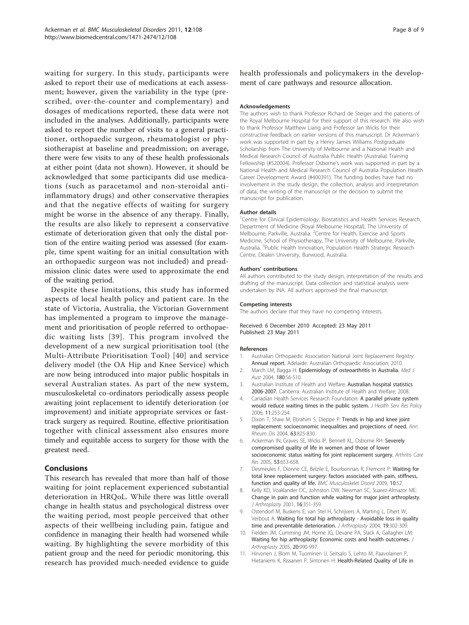<span id="page-7-0"></span>waiting for surgery. In this study, participants were asked to report their use of medications at each assessment; however, given the variability in the type (prescribed, over-the-counter and complementary) and dosages of medications reported, these data were not included in the analyses. Additionally, participants were asked to report the number of visits to a general practitioner, orthopaedic surgeon, rheumatologist or physiotherapist at baseline and preadmission; on average, there were few visits to any of these health professionals at either point (data not shown). However, it should be acknowledged that some participants did use medications (such as paracetamol and non-steroidal antiinflammatory drugs) and other conservative therapies and that the negative effects of waiting for surgery might be worse in the absence of any therapy. Finally, the results are also likely to represent a conservative estimate of deterioration given that only the distal portion of the entire waiting period was assessed (for example, time spent waiting for an initial consultation with an orthopaedic surgeon was not included) and preadmission clinic dates were used to approximate the end of the waiting period.

Despite these limitations, this study has informed aspects of local health policy and patient care. In the state of Victoria, Australia, the Victorian Government has implemented a program to improve the management and prioritisation of people referred to orthopaedic waiting lists [[39](#page-8-0)]. This program involved the development of a new surgical prioritisation tool (the Multi-Attribute Prioritisation Tool) [[40\]](#page-8-0) and service delivery model (the OA Hip and Knee Service) which are now being introduced into major public hospitals in several Australian states. As part of the new system, musculoskeletal co-ordinators periodically assess people awaiting joint replacement to identify deterioration (or improvement) and initiate appropriate services or fasttrack surgery as required. Routine, effective prioritisation together with clinical assessment also ensures more timely and equitable access to surgery for those with the greatest need.

# Conclusions

This research has revealed that more than half of those waiting for joint replacement experienced substantial deterioration in HRQoL. While there was little overall change in health status and psychological distress over the waiting period, most people perceived that other aspects of their wellbeing including pain, fatigue and confidence in managing their health had worsened while waiting. By highlighting the severe morbidity of this patient group and the need for periodic monitoring, this research has provided much-needed evidence to guide

health professionals and policymakers in the development of care pathways and resource allocation.

#### Acknowledgements

The authors wish to thank Professor Richard de Steiger and the patients of the Royal Melbourne Hospital for their support of this research. We also wish to thank Professor Matthew Liang and Professor Ian Wicks for their constructive feedback on earlier versions of this manuscript. Dr Ackerman's work was supported in part by a Henry James Williams Postgraduate Scholarship from The University of Melbourne and a National Health and Medical Research Council of Australia Public Health (Australia) Training Fellowship (#520004). Professor Osborne's work was supported in part by a National Health and Medical Research Council of Australia Population Health Career Development Award (#400391). The funding bodies have had no involvement in the study design, the collection, analysis and interpretation of data, the writing of the manuscript or the decision to submit the manuscript for publication.

#### Author details

<sup>1</sup> Centre for Clinical Epidemiology, Biostatistics and Health Services Research Department of Medicine (Royal Melbourne Hospital), The University of Melbourne, Parkville, Australia. <sup>2</sup> Centre for Health, Exercise and Sports Medicine, School of Physiotherapy, The University of Melbourne, Parkville, Australia. <sup>3</sup>Public Health Innovation, Population Health Strategic Research Centre, Deakin University, Burwood, Australia.

#### Authors' contributions

All authors contributed to the study design, interpretation of the results and drafting of the manuscript. Data collection and statistical analysis were undertaken by INA. All authors approved the final manuscript.

#### Competing interests

The authors declare that they have no competing interests.

#### Received: 6 December 2010 Accepted: 23 May 2011 Published: 23 May 2011

#### References

- 1. Australian Orthopaedic Association National Joint Replacement Registry: Annual report. Adelaide: Australian Orthopaedic Association; 2010.
- 2. March LM, Bagga H: [Epidemiology of osteoarthritis in Australia.](http://www.ncbi.nlm.nih.gov/pubmed/14984356?dopt=Abstract) Med J Aust 2004, 180:S6-S10.
- 3. Australian Institute of Health and Welfare: Australian hospital statistics 2006-2007. Canberra: Australian Institute of Health and Welfare; 2008.
- Canadian Health Services Research Foundation: [A parallel private system](http://www.ncbi.nlm.nih.gov/pubmed/17018202?dopt=Abstract) [would reduce waiting times in the public system.](http://www.ncbi.nlm.nih.gov/pubmed/17018202?dopt=Abstract) J Health Serv Res Policy 2006, 11:253-254.
- Dixon T, Shaw M, Ebrahim S, Dieppe P: [Trends in hip and knee joint](http://www.ncbi.nlm.nih.gov/pubmed/15194578?dopt=Abstract) [replacement: socioeconomic inequalities and projections of need.](http://www.ncbi.nlm.nih.gov/pubmed/15194578?dopt=Abstract) Ann Rheum Dis 2004, 63:825-830.
- 6. Ackerman IN, Graves SE, Wicks IP, Bennell KL, Osborne RH: Severely compromised quality of life in women and those of lower socioeconomic status waiting for joint replacement surgery. Arthritis Care Res 2005, 53:653-658.
- 7. Desmeules F, Dionne CE, Belzile E, Bourbonnais R, Fremont P: [Waiting for](http://www.ncbi.nlm.nih.gov/pubmed/19457252?dopt=Abstract) [total knee replacement surgery: factors associated with pain, stiffness,](http://www.ncbi.nlm.nih.gov/pubmed/19457252?dopt=Abstract) [function and quality of life.](http://www.ncbi.nlm.nih.gov/pubmed/19457252?dopt=Abstract) BMC Musculoskelet Disord 2009, 10:52.
- 8. Kelly KD, Voaklander DC, Johnston DW, Newman SC, Suarez-Almazor ME: [Change in pain and function while waiting for major joint arthroplasty.](http://www.ncbi.nlm.nih.gov/pubmed/11307134?dopt=Abstract) J Arthroplasty 2001, 16:351-359.
- Ostendorf M, Buskens E, van Stel H, Schrijvers A, Marting L, Dhert W, Verbout A: [Waiting for total hip arthroplasty - Avoidable loss in quality](http://www.ncbi.nlm.nih.gov/pubmed/15067641?dopt=Abstract) [time and preventable deterioration.](http://www.ncbi.nlm.nih.gov/pubmed/15067641?dopt=Abstract) J Arthroplasty 2004, 19:302-309.
- 10. Fielden JM, Cumming JM, Horne JG, Devane PA, Slack A, Gallagher LM: [Waiting for hip arthroplasty: Economic costs and health outcomes.](http://www.ncbi.nlm.nih.gov/pubmed/16376253?dopt=Abstract) J Arthroplasty 2005, 20:990-997.
- 11. Hirvonen J, Blom M, Tuominen U, Seitsalo S, Lehto M, Paavolainen P, Hietaniemi K, Rissanen P, Sintonen H: [Health-Related Quality of Life in](http://www.ncbi.nlm.nih.gov/pubmed/16423293?dopt=Abstract)